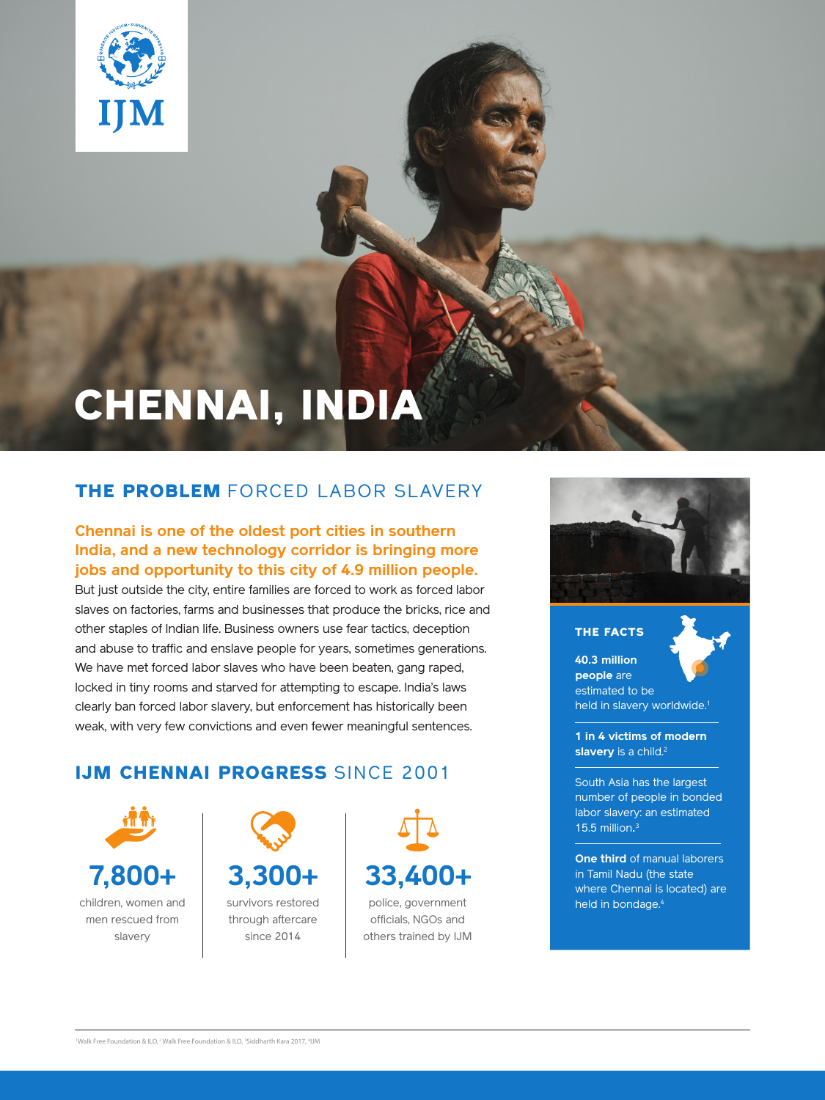

# CHENNAI, INDIA

# THE PROBLEM FORCED LABOR SLAVERY

#### **Chennai is one of the oldest port cities in southern India, and a new technology corridor is bringing more jobs and opportunity to this city of 4.9 million people.**

But just outside the city, entire families are forced to work as forced labor slaves on factories, farms and businesses that produce the bricks, rice and other staples of Indian life. Business owners use fear tactics, deception and abuse to traffic and enslave people for years, sometimes generations. We have met forced labor slaves who have been beaten, gang raped, locked in tiny rooms and starved for attempting to escape. India's laws clearly ban forced labor slavery, but enforcement has historically been weak, with very few convictions and even fewer meaningful sentences.

# IJM CHENNAI PROGRESS SINCE 2001









### THE FACTS **40.3 million**



**people** are estimated to be held in slavery worldwide.<sup>1</sup>

**1 in 4 victims of modern slavery** is a child.<sup>2</sup>

South Asia has the largest number of people in bonded labor slavery: an estimated 15.5 million**.** 3

**One third** of manual laborers in Tamil Nadu (the state where Chennai is located) are held in bondage.<sup>4</sup>